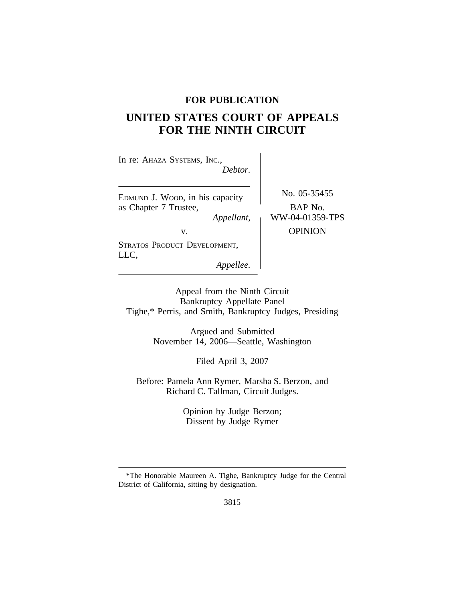# **FOR PUBLICATION**

# **UNITED STATES COURT OF APPEALS FOR THE NINTH CIRCUIT**

| In re: AHAZA SYSTEMS, INC.,<br>Debtor.                                 |                                            |
|------------------------------------------------------------------------|--------------------------------------------|
| EDMUND J. WOOD, in his capacity<br>as Chapter 7 Trustee,<br>Appellant, | No. 05-35455<br>BAP No.<br>WW-04-01359-TPS |
| v.                                                                     | <b>OPINION</b>                             |
| STRATOS PRODUCT DEVELOPMENT,<br>LLC,<br>Appellee.                      |                                            |

Appeal from the Ninth Circuit Bankruptcy Appellate Panel Tighe,\* Perris, and Smith, Bankruptcy Judges, Presiding

> Argued and Submitted November 14, 2006—Seattle, Washington

> > Filed April 3, 2007

Before: Pamela Ann Rymer, Marsha S. Berzon, and Richard C. Tallman, Circuit Judges.

> Opinion by Judge Berzon; Dissent by Judge Rymer

<sup>\*</sup>The Honorable Maureen A. Tighe, Bankruptcy Judge for the Central District of California, sitting by designation.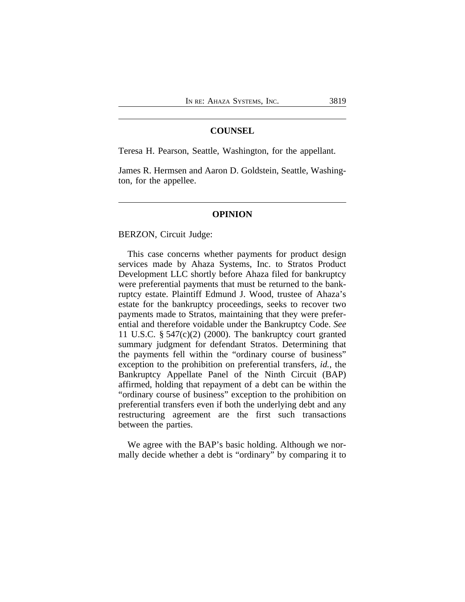## **COUNSEL**

Teresa H. Pearson, Seattle, Washington, for the appellant.

James R. Hermsen and Aaron D. Goldstein, Seattle, Washington, for the appellee.

#### **OPINION**

BERZON, Circuit Judge:

This case concerns whether payments for product design services made by Ahaza Systems, Inc. to Stratos Product Development LLC shortly before Ahaza filed for bankruptcy were preferential payments that must be returned to the bankruptcy estate. Plaintiff Edmund J. Wood, trustee of Ahaza's estate for the bankruptcy proceedings, seeks to recover two payments made to Stratos, maintaining that they were preferential and therefore voidable under the Bankruptcy Code. *See* 11 U.S.C.  $\S$  547(c)(2) (2000). The bankruptcy court granted summary judgment for defendant Stratos. Determining that the payments fell within the "ordinary course of business" exception to the prohibition on preferential transfers, *id.*, the Bankruptcy Appellate Panel of the Ninth Circuit (BAP) affirmed, holding that repayment of a debt can be within the "ordinary course of business" exception to the prohibition on preferential transfers even if both the underlying debt and any restructuring agreement are the first such transactions between the parties.

We agree with the BAP's basic holding. Although we normally decide whether a debt is "ordinary" by comparing it to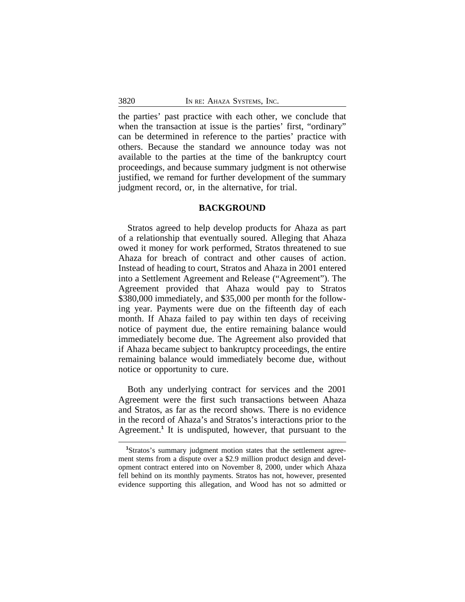the parties' past practice with each other, we conclude that when the transaction at issue is the parties' first, "ordinary" can be determined in reference to the parties' practice with others. Because the standard we announce today was not available to the parties at the time of the bankruptcy court proceedings, and because summary judgment is not otherwise justified, we remand for further development of the summary judgment record, or, in the alternative, for trial.

#### **BACKGROUND**

Stratos agreed to help develop products for Ahaza as part of a relationship that eventually soured. Alleging that Ahaza owed it money for work performed, Stratos threatened to sue Ahaza for breach of contract and other causes of action. Instead of heading to court, Stratos and Ahaza in 2001 entered into a Settlement Agreement and Release ("Agreement"). The Agreement provided that Ahaza would pay to Stratos \$380,000 immediately, and \$35,000 per month for the following year. Payments were due on the fifteenth day of each month. If Ahaza failed to pay within ten days of receiving notice of payment due, the entire remaining balance would immediately become due. The Agreement also provided that if Ahaza became subject to bankruptcy proceedings, the entire remaining balance would immediately become due, without notice or opportunity to cure.

Both any underlying contract for services and the 2001 Agreement were the first such transactions between Ahaza and Stratos, as far as the record shows. There is no evidence in the record of Ahaza's and Stratos's interactions prior to the Agreement.**<sup>1</sup>** It is undisputed, however, that pursuant to the

**<sup>1</sup>**Stratos's summary judgment motion states that the settlement agreement stems from a dispute over a \$2.9 million product design and development contract entered into on November 8, 2000, under which Ahaza fell behind on its monthly payments. Stratos has not, however, presented evidence supporting this allegation, and Wood has not so admitted or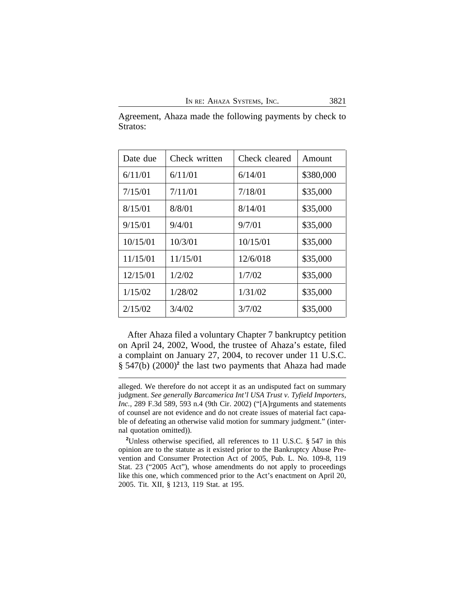| Date due | Check written | Check cleared | Amount    |
|----------|---------------|---------------|-----------|
| 6/11/01  | 6/11/01       | 6/14/01       | \$380,000 |
| 7/15/01  | 7/11/01       | 7/18/01       | \$35,000  |
| 8/15/01  | 8/8/01        | 8/14/01       | \$35,000  |
| 9/15/01  | 9/4/01        | 9/7/01        | \$35,000  |
| 10/15/01 | 10/3/01       | 10/15/01      | \$35,000  |
| 11/15/01 | 11/15/01      | 12/6/018      | \$35,000  |
| 12/15/01 | 1/2/02        | 1/7/02        | \$35,000  |
| 1/15/02  | 1/28/02       | 1/31/02       | \$35,000  |
| 2/15/02  | 3/4/02        | 3/7/02        | \$35,000  |

Agreement, Ahaza made the following payments by check to Stratos:

After Ahaza filed a voluntary Chapter 7 bankruptcy petition on April 24, 2002, Wood, the trustee of Ahaza's estate, filed a complaint on January 27, 2004, to recover under 11 U.S.C. § 547(b) (2000)<sup>2</sup> the last two payments that Ahaza had made

alleged. We therefore do not accept it as an undisputed fact on summary judgment. *See generally Barcamerica Int'l USA Trust v. Tyfield Importers, Inc.,* 289 F.3d 589, 593 n.4 (9th Cir. 2002) ("[A]rguments and statements of counsel are not evidence and do not create issues of material fact capable of defeating an otherwise valid motion for summary judgment." (internal quotation omitted)).

**<sup>2</sup>**Unless otherwise specified, all references to 11 U.S.C. § 547 in this opinion are to the statute as it existed prior to the Bankruptcy Abuse Prevention and Consumer Protection Act of 2005, Pub. L. No. 109-8, 119 Stat. 23 ("2005 Act"), whose amendments do not apply to proceedings like this one, which commenced prior to the Act's enactment on April 20, 2005. Tit. XII, § 1213, 119 Stat. at 195.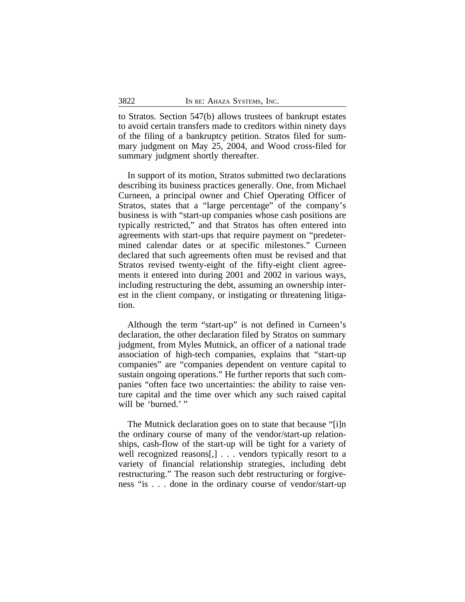to Stratos. Section 547(b) allows trustees of bankrupt estates to avoid certain transfers made to creditors within ninety days of the filing of a bankruptcy petition. Stratos filed for summary judgment on May 25, 2004, and Wood cross-filed for summary judgment shortly thereafter.

In support of its motion, Stratos submitted two declarations describing its business practices generally. One, from Michael Curneen, a principal owner and Chief Operating Officer of Stratos, states that a "large percentage" of the company's business is with "start-up companies whose cash positions are typically restricted," and that Stratos has often entered into agreements with start-ups that require payment on "predetermined calendar dates or at specific milestones." Curneen declared that such agreements often must be revised and that Stratos revised twenty-eight of the fifty-eight client agreements it entered into during 2001 and 2002 in various ways, including restructuring the debt, assuming an ownership interest in the client company, or instigating or threatening litigation.

Although the term "start-up" is not defined in Curneen's declaration, the other declaration filed by Stratos on summary judgment, from Myles Mutnick, an officer of a national trade association of high-tech companies, explains that "start-up companies" are "companies dependent on venture capital to sustain ongoing operations." He further reports that such companies "often face two uncertainties: the ability to raise venture capital and the time over which any such raised capital will be 'burned.' "

The Mutnick declaration goes on to state that because "[i]n the ordinary course of many of the vendor/start-up relationships, cash-flow of the start-up will be tight for a variety of well recognized reasons[,] . . . vendors typically resort to a variety of financial relationship strategies, including debt restructuring." The reason such debt restructuring or forgiveness "is . . . done in the ordinary course of vendor/start-up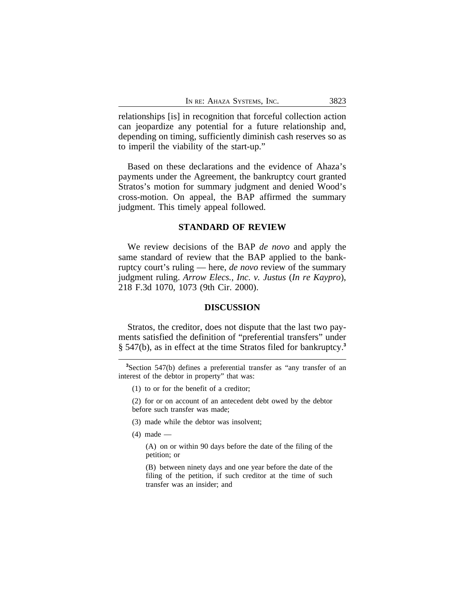relationships [is] in recognition that forceful collection action can jeopardize any potential for a future relationship and, depending on timing, sufficiently diminish cash reserves so as to imperil the viability of the start-up."

Based on these declarations and the evidence of Ahaza's payments under the Agreement, the bankruptcy court granted Stratos's motion for summary judgment and denied Wood's cross-motion. On appeal, the BAP affirmed the summary judgment. This timely appeal followed.

#### **STANDARD OF REVIEW**

We review decisions of the BAP *de novo* and apply the same standard of review that the BAP applied to the bankruptcy court's ruling — here, *de novo* review of the summary judgment ruling. *Arrow Elecs., Inc. v. Justus* (*In re Kaypro*), 218 F.3d 1070, 1073 (9th Cir. 2000).

#### **DISCUSSION**

Stratos, the creditor, does not dispute that the last two payments satisfied the definition of "preferential transfers" under § 547(b), as in effect at the time Stratos filed for bankruptcy.**<sup>3</sup>**

(1) to or for the benefit of a creditor;

(2) for or on account of an antecedent debt owed by the debtor before such transfer was made;

- (3) made while the debtor was insolvent;
- (4) made —

(A) on or within 90 days before the date of the filing of the petition; or

(B) between ninety days and one year before the date of the filing of the petition, if such creditor at the time of such transfer was an insider; and

**<sup>3</sup>**Section 547(b) defines a preferential transfer as "any transfer of an interest of the debtor in property" that was: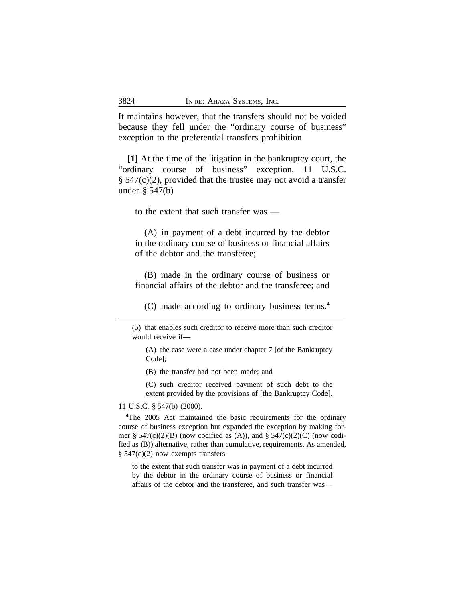It maintains however, that the transfers should not be voided because they fell under the "ordinary course of business" exception to the preferential transfers prohibition.

**[1]** At the time of the litigation in the bankruptcy court, the "ordinary course of business" exception, 11 U.S.C. § 547(c)(2), provided that the trustee may not avoid a transfer under § 547(b)

to the extent that such transfer was —

(A) in payment of a debt incurred by the debtor in the ordinary course of business or financial affairs of the debtor and the transferee;

(B) made in the ordinary course of business or financial affairs of the debtor and the transferee; and

(C) made according to ordinary business terms.**<sup>4</sup>**

(5) that enables such creditor to receive more than such creditor would receive if—

(A) the case were a case under chapter 7 [of the Bankruptcy Code];

(B) the transfer had not been made; and

(C) such creditor received payment of such debt to the extent provided by the provisions of [the Bankruptcy Code].

#### 11 U.S.C. § 547(b) (2000).

**<sup>4</sup>**The 2005 Act maintained the basic requirements for the ordinary course of business exception but expanded the exception by making former § 547(c)(2)(B) (now codified as (A)), and § 547(c)(2)(C) (now codified as (B)) alternative, rather than cumulative, requirements. As amended, § 547(c)(2) now exempts transfers

to the extent that such transfer was in payment of a debt incurred by the debtor in the ordinary course of business or financial affairs of the debtor and the transferee, and such transfer was—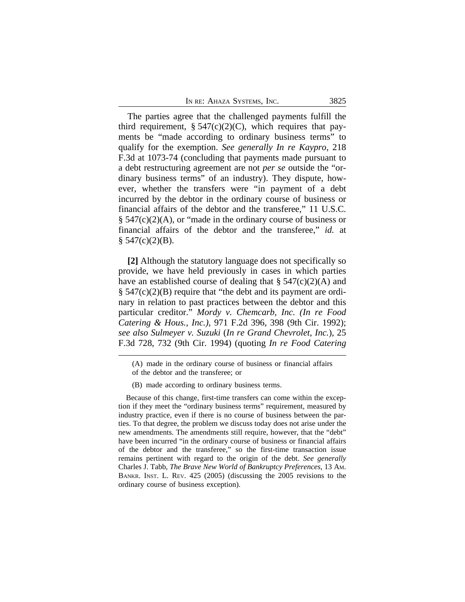The parties agree that the challenged payments fulfill the third requirement,  $\S 547(c)(2)(C)$ , which requires that payments be "made according to ordinary business terms" to qualify for the exemption. *See generally In re Kaypro*, 218 F.3d at 1073-74 (concluding that payments made pursuant to a debt restructuring agreement are not *per se* outside the "ordinary business terms" of an industry). They dispute, however, whether the transfers were "in payment of a debt incurred by the debtor in the ordinary course of business or financial affairs of the debtor and the transferee," 11 U.S.C. § 547(c)(2)(A), or "made in the ordinary course of business or financial affairs of the debtor and the transferee," *id.* at  $$547(c)(2)(B).$ 

**[2]** Although the statutory language does not specifically so provide, we have held previously in cases in which parties have an established course of dealing that  $\S$  547(c)(2)(A) and § 547(c)(2)(B) require that "the debt and its payment are ordinary in relation to past practices between the debtor and this particular creditor." *Mordy v. Chemcarb, Inc. (In re Food Catering & Hous., Inc.)*, 971 F.2d 396, 398 (9th Cir. 1992); *see also Sulmeyer v. Suzuki* (*In re Grand Chevrolet, Inc.*), 25 F.3d 728, 732 (9th Cir. 1994) (quoting *In re Food Catering*

<sup>(</sup>A) made in the ordinary course of business or financial affairs of the debtor and the transferee; or

<sup>(</sup>B) made according to ordinary business terms.

Because of this change, first-time transfers can come within the exception if they meet the "ordinary business terms" requirement, measured by industry practice, even if there is no course of business between the parties. To that degree, the problem we discuss today does not arise under the new amendments. The amendments still require, however, that the "debt" have been incurred "in the ordinary course of business or financial affairs of the debtor and the transferee," so the first-time transaction issue remains pertinent with regard to the origin of the debt. *See generally* Charles J. Tabb, *The Brave New World of Bankruptcy Preferences*, 13 AM. BANKR. INST. L. REV. 425 (2005) (discussing the 2005 revisions to the ordinary course of business exception).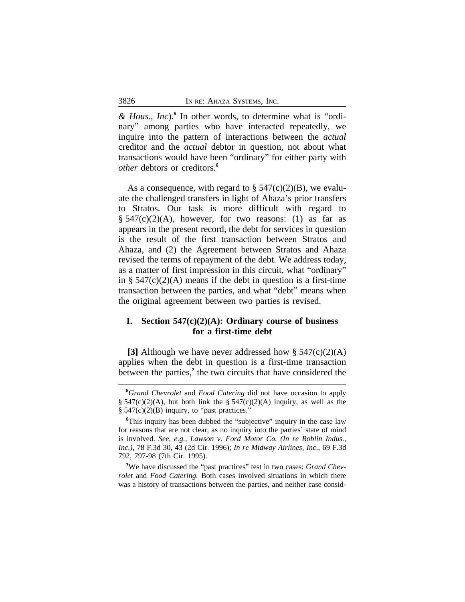*& Hous., Inc*).**<sup>5</sup>** In other words, to determine what is "ordinary" among parties who have interacted repeatedly, we inquire into the pattern of interactions between the *actual* creditor and the *actual* debtor in question, not about what transactions would have been "ordinary" for either party with *other* debtors or creditors.**<sup>6</sup>**

As a consequence, with regard to  $\S 547(c)(2)(B)$ , we evaluate the challenged transfers in light of Ahaza's prior transfers to Stratos. Our task is more difficult with regard to  $\S$  547(c)(2)(A), however, for two reasons: (1) as far as appears in the present record, the debt for services in question is the result of the first transaction between Stratos and Ahaza, and (2) the Agreement between Stratos and Ahaza revised the terms of repayment of the debt. We address today, as a matter of first impression in this circuit, what "ordinary" in §  $547(c)(2)(A)$  means if the debt in question is a first-time transaction between the parties, and what "debt" means when the original agreement between two parties is revised.

# **I. Section 547(c)(2)(A): Ordinary course of business for a first-time debt**

**[3]** Although we have never addressed how § 547(c)(2)(A) applies when the debt in question is a first-time transaction between the parties,<sup>7</sup> the two circuits that have considered the

**<sup>5</sup>***Grand Chevrolet* and *Food Catering* did not have occasion to apply §  $547(c)(2)(A)$ , but both link the §  $547(c)(2)(A)$  inquiry, as well as the  $§ 547(c)(2)(B)$  inquiry, to "past practices."

<sup>&</sup>lt;sup>6</sup>This inquiry has been dubbed the "subjective" inquiry in the case law for reasons that are not clear, as no inquiry into the parties' state of mind is involved. *See, e.g., Lawson v. Ford Motor Co. (In re Roblin Indus., Inc.)*, 78 F.3d 30, 43 (2d Cir. 1996); *In re Midway Airlines, Inc.*, 69 F.3d 792, 797-98 (7th Cir. 1995).

**<sup>7</sup>**We have discussed the "past practices" test in two cases: *Grand Chevrolet* and *Food Catering.* Both cases involved situations in which there was a history of transactions between the parties, and neither case consid-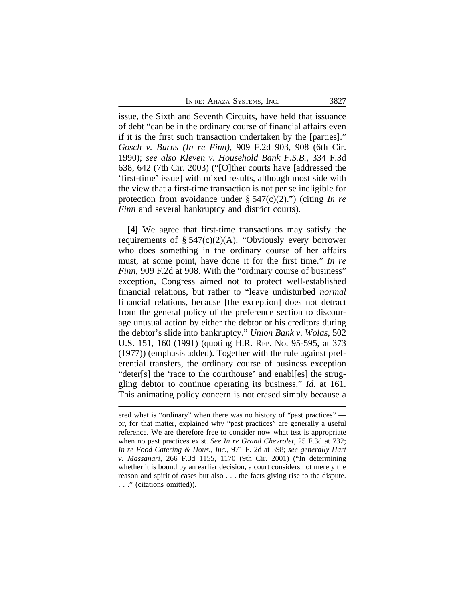issue, the Sixth and Seventh Circuits, have held that issuance of debt "can be in the ordinary course of financial affairs even if it is the first such transaction undertaken by the [parties]." *Gosch v. Burns (In re Finn)*, 909 F.2d 903, 908 (6th Cir. 1990); *see also Kleven v. Household Bank F.S.B.*, 334 F.3d 638, 642 (7th Cir. 2003) ("[O]ther courts have [addressed the 'first-time' issue] with mixed results, although most side with the view that a first-time transaction is not per se ineligible for protection from avoidance under § 547(c)(2).") (citing *In re Finn* and several bankruptcy and district courts).

**[4]** We agree that first-time transactions may satisfy the requirements of § 547(c)(2)(A). "Obviously every borrower who does something in the ordinary course of her affairs must, at some point, have done it for the first time." *In re Finn*, 909 F.2d at 908. With the "ordinary course of business" exception, Congress aimed not to protect well-established financial relations, but rather to "leave undisturbed *normal* financial relations, because [the exception] does not detract from the general policy of the preference section to discourage unusual action by either the debtor or his creditors during the debtor's slide into bankruptcy." *Union Bank v. Wolas*, 502 U.S. 151, 160 (1991) (quoting H.R. REP. NO. 95-595, at 373 (1977)) (emphasis added). Together with the rule against preferential transfers, the ordinary course of business exception "deter[s] the 'race to the courthouse' and enabl[es] the struggling debtor to continue operating its business." *Id.* at 161. This animating policy concern is not erased simply because a

ered what is "ordinary" when there was no history of "past practices" or, for that matter, explained why "past practices" are generally a useful reference. We are therefore free to consider now what test is appropriate when no past practices exist. *See In re Grand Chevrolet*, 25 F.3d at 732; *In re Food Catering & Hous.*, *Inc.,* 971 F. 2d at 398; *see generally Hart v. Massanari,* 266 F.3d 1155, 1170 (9th Cir. 2001) ("In determining whether it is bound by an earlier decision, a court considers not merely the reason and spirit of cases but also . . . the facts giving rise to the dispute. . . ." (citations omitted)).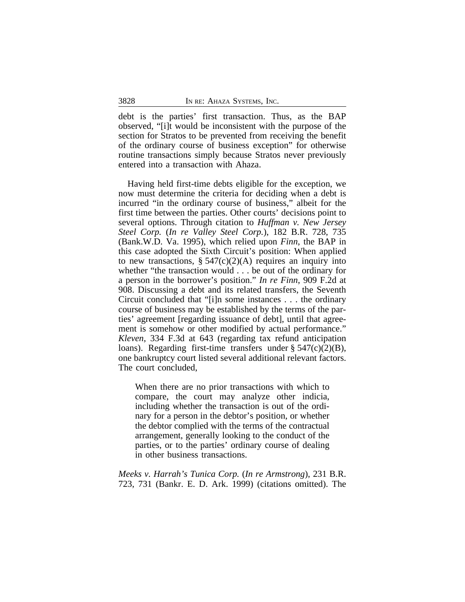debt is the parties' first transaction. Thus, as the BAP observed, "[i]t would be inconsistent with the purpose of the section for Stratos to be prevented from receiving the benefit of the ordinary course of business exception" for otherwise routine transactions simply because Stratos never previously entered into a transaction with Ahaza.

Having held first-time debts eligible for the exception, we now must determine the criteria for deciding when a debt is incurred "in the ordinary course of business," albeit for the first time between the parties. Other courts' decisions point to several options. Through citation to *Huffman v. New Jersey Steel Corp.* (*In re Valley Steel Corp.*), 182 B.R. 728, 735 (Bank.W.D. Va. 1995), which relied upon *Finn*, the BAP in this case adopted the Sixth Circuit's position: When applied to new transactions,  $\S 547(c)(2)(A)$  requires an inquiry into whether "the transaction would . . . be out of the ordinary for a person in the borrower's position." *In re Finn*, 909 F.2d at 908. Discussing a debt and its related transfers, the Seventh Circuit concluded that "[i]n some instances . . . the ordinary course of business may be established by the terms of the parties' agreement [regarding issuance of debt], until that agreement is somehow or other modified by actual performance." *Kleven*, 334 F.3d at 643 (regarding tax refund anticipation loans). Regarding first-time transfers under  $\S$  547(c)(2)(B), one bankruptcy court listed several additional relevant factors. The court concluded,

When there are no prior transactions with which to compare, the court may analyze other indicia, including whether the transaction is out of the ordinary for a person in the debtor's position, or whether the debtor complied with the terms of the contractual arrangement, generally looking to the conduct of the parties, or to the parties' ordinary course of dealing in other business transactions.

*Meeks v. Harrah's Tunica Corp.* (*In re Armstrong*), 231 B.R. 723, 731 (Bankr. E. D. Ark. 1999) (citations omitted). The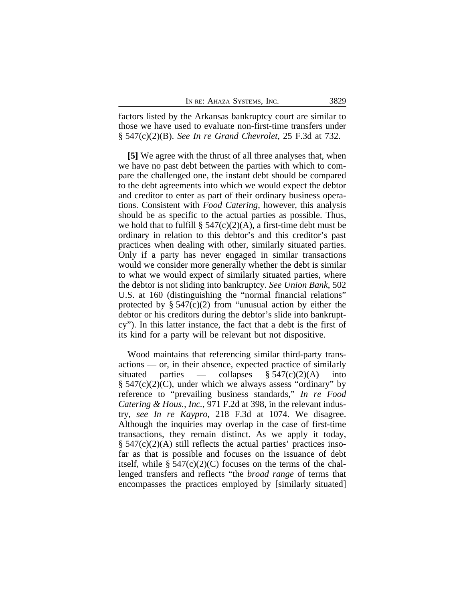factors listed by the Arkansas bankruptcy court are similar to those we have used to evaluate non-first-time transfers under § 547(c)(2)(B). *See In re Grand Chevrolet*, 25 F.3d at 732.

**[5]** We agree with the thrust of all three analyses that, when we have no past debt between the parties with which to compare the challenged one, the instant debt should be compared to the debt agreements into which we would expect the debtor and creditor to enter as part of their ordinary business operations. Consistent with *Food Catering*, however, this analysis should be as specific to the actual parties as possible. Thus, we hold that to fulfill  $\S$  547(c)(2)(A), a first-time debt must be ordinary in relation to this debtor's and this creditor's past practices when dealing with other, similarly situated parties. Only if a party has never engaged in similar transactions would we consider more generally whether the debt is similar to what we would expect of similarly situated parties, where the debtor is not sliding into bankruptcy. *See Union Bank*, 502 U.S. at 160 (distinguishing the "normal financial relations" protected by  $\S 547(c)(2)$  from "unusual action by either the debtor or his creditors during the debtor's slide into bankruptcy"). In this latter instance, the fact that a debt is the first of its kind for a party will be relevant but not dispositive.

Wood maintains that referencing similar third-party transactions — or, in their absence, expected practice of similarly situated parties — collapses  $\S 547(c)(2)(A)$  into  $\S$  547(c)(2)(C), under which we always assess "ordinary" by reference to "prevailing business standards," *In re Food Catering & Hous., Inc.*, 971 F.2d at 398, in the relevant industry, *see In re Kaypro*, 218 F.3d at 1074. We disagree. Although the inquiries may overlap in the case of first-time transactions, they remain distinct. As we apply it today, § 547(c)(2)(A) still reflects the actual parties' practices insofar as that is possible and focuses on the issuance of debt itself, while  $\S 547(c)(2)(C)$  focuses on the terms of the challenged transfers and reflects "the *broad range* of terms that encompasses the practices employed by [similarly situated]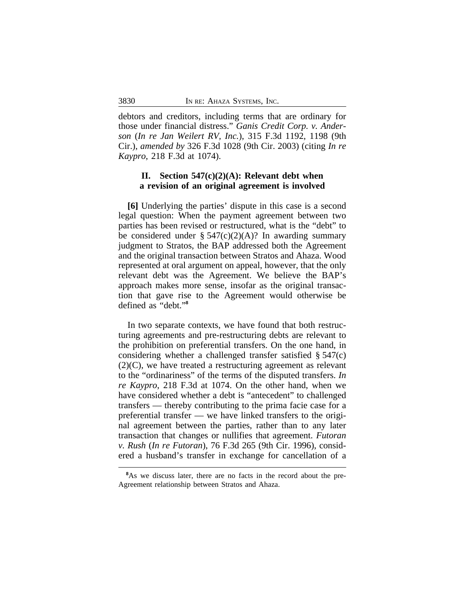debtors and creditors, including terms that are ordinary for those under financial distress." *Ganis Credit Corp. v. Anderson* (*In re Jan Weilert RV, Inc.*), 315 F.3d 1192, 1198 (9th Cir.), *amended by* 326 F.3d 1028 (9th Cir. 2003) (citing *In re Kaypro*, 218 F.3d at 1074).

# **II. Section 547(c)(2)(A): Relevant debt when a revision of an original agreement is involved**

**[6]** Underlying the parties' dispute in this case is a second legal question: When the payment agreement between two parties has been revised or restructured, what is the "debt" to be considered under  $\S 547(c)(2)(A)$ ? In awarding summary judgment to Stratos, the BAP addressed both the Agreement and the original transaction between Stratos and Ahaza. Wood represented at oral argument on appeal, however, that the only relevant debt was the Agreement. We believe the BAP's approach makes more sense, insofar as the original transaction that gave rise to the Agreement would otherwise be defined as "debt." **8**

In two separate contexts, we have found that both restructuring agreements and pre-restructuring debts are relevant to the prohibition on preferential transfers. On the one hand, in considering whether a challenged transfer satisfied § 547(c)  $(2)(C)$ , we have treated a restructuring agreement as relevant to the "ordinariness" of the terms of the disputed transfers. *In re Kaypro*, 218 F.3d at 1074. On the other hand, when we have considered whether a debt is "antecedent" to challenged transfers — thereby contributing to the prima facie case for a preferential transfer — we have linked transfers to the original agreement between the parties, rather than to any later transaction that changes or nullifies that agreement. *Futoran v. Rush* (*In re Futoran*), 76 F.3d 265 (9th Cir. 1996), considered a husband's transfer in exchange for cancellation of a

<sup>&</sup>lt;sup>8</sup>As we discuss later, there are no facts in the record about the pre-Agreement relationship between Stratos and Ahaza.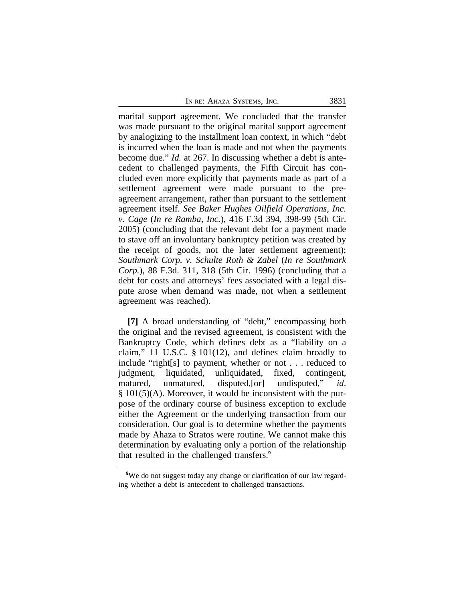marital support agreement. We concluded that the transfer was made pursuant to the original marital support agreement by analogizing to the installment loan context, in which "debt is incurred when the loan is made and not when the payments become due." *Id.* at 267. In discussing whether a debt is antecedent to challenged payments, the Fifth Circuit has concluded even more explicitly that payments made as part of a settlement agreement were made pursuant to the preagreement arrangement, rather than pursuant to the settlement agreement itself. *See Baker Hughes Oilfield Operations, Inc. v. Cage* (*In re Ramba, Inc.*), 416 F.3d 394, 398-99 (5th Cir. 2005) (concluding that the relevant debt for a payment made to stave off an involuntary bankruptcy petition was created by the receipt of goods, not the later settlement agreement); *Southmark Corp. v. Schulte Roth & Zabel* (*In re Southmark Corp.*), 88 F.3d. 311, 318 (5th Cir. 1996) (concluding that a debt for costs and attorneys' fees associated with a legal dispute arose when demand was made, not when a settlement agreement was reached).

**[7]** A broad understanding of "debt," encompassing both the original and the revised agreement, is consistent with the Bankruptcy Code, which defines debt as a "liability on a claim," 11 U.S.C. § 101(12), and defines claim broadly to include "right[s] to payment, whether or not . . . reduced to judgment, liquidated, unliquidated, fixed, contingent, matured, unmatured, disputed,[or] undisputed," *id*. § 101(5)(A). Moreover, it would be inconsistent with the purpose of the ordinary course of business exception to exclude either the Agreement or the underlying transaction from our consideration. Our goal is to determine whether the payments made by Ahaza to Stratos were routine. We cannot make this determination by evaluating only a portion of the relationship that resulted in the challenged transfers.**<sup>9</sup>**

<sup>&</sup>lt;sup>9</sup>We do not suggest today any change or clarification of our law regarding whether a debt is antecedent to challenged transactions.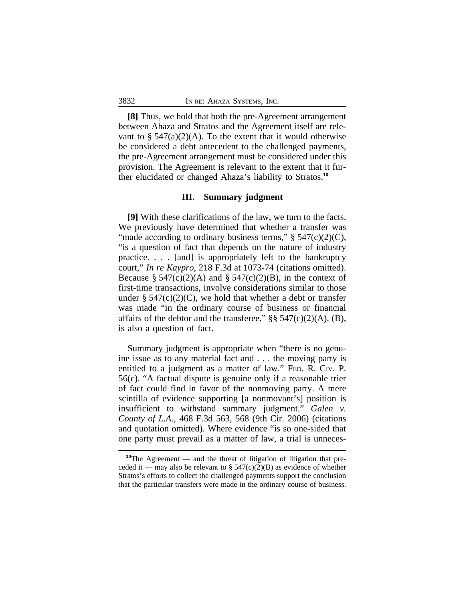**[8]** Thus, we hold that both the pre-Agreement arrangement between Ahaza and Stratos and the Agreement itself are relevant to  $\S$  547(a)(2)(A). To the extent that it would otherwise be considered a debt antecedent to the challenged payments, the pre-Agreement arrangement must be considered under this provision. The Agreement is relevant to the extent that it further elucidated or changed Ahaza's liability to Stratos.**<sup>10</sup>**

## **III. Summary judgment**

**[9]** With these clarifications of the law, we turn to the facts. We previously have determined that whether a transfer was "made according to ordinary business terms,"  $\S$  547(c)(2)(C), "is a question of fact that depends on the nature of industry practice. . . . [and] is appropriately left to the bankruptcy court," *In re Kaypro*, 218 F.3d at 1073-74 (citations omitted). Because §  $547(c)(2)(A)$  and §  $547(c)(2)(B)$ , in the context of first-time transactions, involve considerations similar to those under §  $547(c)(2)(C)$ , we hold that whether a debt or transfer was made "in the ordinary course of business or financial affairs of the debtor and the transferee,"  $\S$ § 547(c)(2)(A), (B), is also a question of fact.

Summary judgment is appropriate when "there is no genuine issue as to any material fact and . . . the moving party is entitled to a judgment as a matter of law." FED. R. CIV. P. 56(c). "A factual dispute is genuine only if a reasonable trier of fact could find in favor of the nonmoving party. A mere scintilla of evidence supporting [a nonmovant's] position is insufficient to withstand summary judgment." *Galen v. County of L.A.*, 468 F.3d 563, 568 (9th Cir. 2006) (citations and quotation omitted). Where evidence "is so one-sided that one party must prevail as a matter of law, a trial is unneces-

**<sup>10</sup>**The Agreement — and the threat of litigation of litigation that preceded it — may also be relevant to §  $547(c)(2)(B)$  as evidence of whether Stratos's efforts to collect the challenged payments support the conclusion that the particular transfers were made in the ordinary course of business.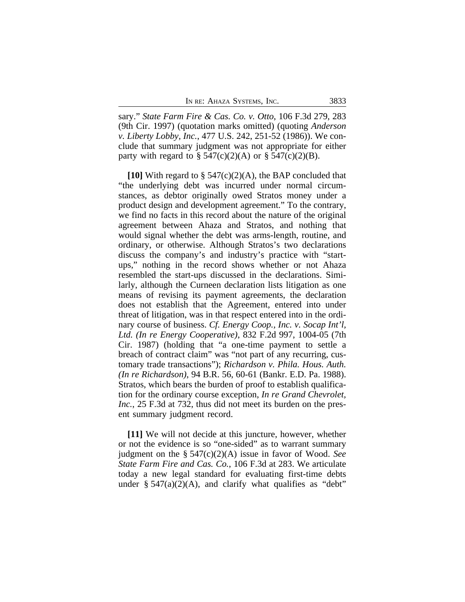sary." *State Farm Fire & Cas. Co. v. Otto*, 106 F.3d 279, 283 (9th Cir. 1997) (quotation marks omitted) (quoting *Anderson v. Liberty Lobby, Inc.*, 477 U.S. 242, 251-52 (1986)). We conclude that summary judgment was not appropriate for either party with regard to  $\S$  547(c)(2)(A) or  $\S$  547(c)(2)(B).

**[10]** With regard to § 547(c)(2)(A), the BAP concluded that "the underlying debt was incurred under normal circumstances, as debtor originally owed Stratos money under a product design and development agreement." To the contrary, we find no facts in this record about the nature of the original agreement between Ahaza and Stratos, and nothing that would signal whether the debt was arms-length, routine, and ordinary, or otherwise. Although Stratos's two declarations discuss the company's and industry's practice with "startups," nothing in the record shows whether or not Ahaza resembled the start-ups discussed in the declarations. Similarly, although the Curneen declaration lists litigation as one means of revising its payment agreements, the declaration does not establish that the Agreement, entered into under threat of litigation, was in that respect entered into in the ordinary course of business. *Cf. Energy Coop., Inc. v. Socap Int'l, Ltd. (In re Energy Cooperative)*, 832 F.2d 997, 1004-05 (7th Cir. 1987) (holding that "a one-time payment to settle a breach of contract claim" was "not part of any recurring, customary trade transactions"); *Richardson v. Phila. Hous. Auth. (In re Richardson)*, 94 B.R. 56, 60-61 (Bankr. E.D. Pa. 1988). Stratos, which bears the burden of proof to establish qualification for the ordinary course exception, *In re Grand Chevrolet, Inc.*, 25 F.3d at 732, thus did not meet its burden on the present summary judgment record.

**[11]** We will not decide at this juncture, however, whether or not the evidence is so "one-sided" as to warrant summary judgment on the § 547(c)(2)(A) issue in favor of Wood. *See State Farm Fire and Cas. Co.*, 106 F.3d at 283. We articulate today a new legal standard for evaluating first-time debts under  $\S$  547(a)(2)(A), and clarify what qualifies as "debt"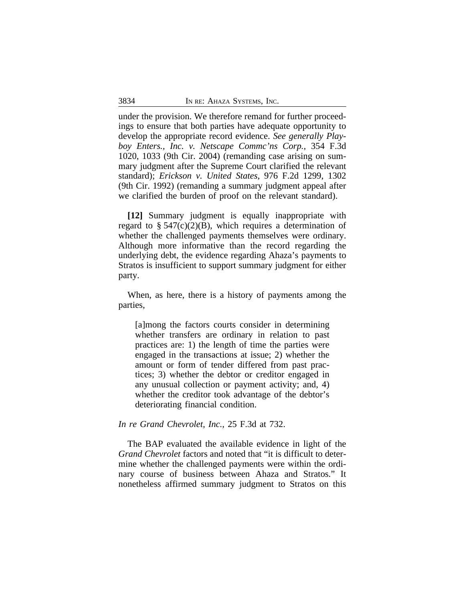under the provision. We therefore remand for further proceedings to ensure that both parties have adequate opportunity to develop the appropriate record evidence. *See generally Playboy Enters., Inc. v. Netscape Commc'ns Corp.*, 354 F.3d 1020, 1033 (9th Cir. 2004) (remanding case arising on summary judgment after the Supreme Court clarified the relevant standard); *Erickson v. United States*, 976 F.2d 1299, 1302 (9th Cir. 1992) (remanding a summary judgment appeal after we clarified the burden of proof on the relevant standard).

**[12]** Summary judgment is equally inappropriate with regard to  $\S$  547(c)(2)(B), which requires a determination of whether the challenged payments themselves were ordinary. Although more informative than the record regarding the underlying debt, the evidence regarding Ahaza's payments to Stratos is insufficient to support summary judgment for either party.

When, as here, there is a history of payments among the parties,

[a]mong the factors courts consider in determining whether transfers are ordinary in relation to past practices are: 1) the length of time the parties were engaged in the transactions at issue; 2) whether the amount or form of tender differed from past practices; 3) whether the debtor or creditor engaged in any unusual collection or payment activity; and, 4) whether the creditor took advantage of the debtor's deteriorating financial condition.

*In re Grand Chevrolet, Inc.*, 25 F.3d at 732.

The BAP evaluated the available evidence in light of the *Grand Chevrolet* factors and noted that "it is difficult to determine whether the challenged payments were within the ordinary course of business between Ahaza and Stratos." It nonetheless affirmed summary judgment to Stratos on this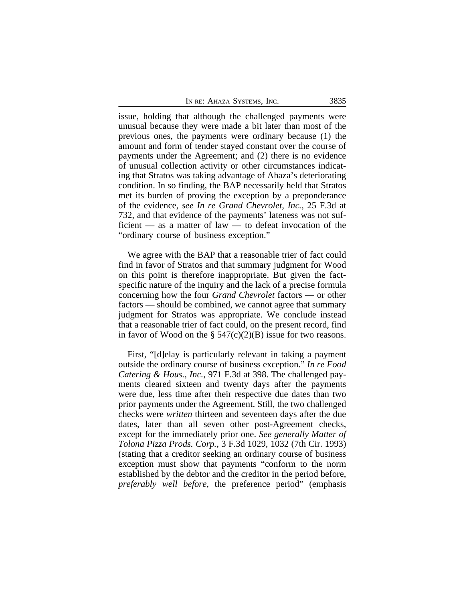issue, holding that although the challenged payments were unusual because they were made a bit later than most of the previous ones, the payments were ordinary because (1) the amount and form of tender stayed constant over the course of payments under the Agreement; and (2) there is no evidence of unusual collection activity or other circumstances indicating that Stratos was taking advantage of Ahaza's deteriorating condition. In so finding, the BAP necessarily held that Stratos met its burden of proving the exception by a preponderance of the evidence, *see In re Grand Chevrolet, Inc.*, 25 F.3d at 732, and that evidence of the payments' lateness was not sufficient — as a matter of law — to defeat invocation of the "ordinary course of business exception."

We agree with the BAP that a reasonable trier of fact could find in favor of Stratos and that summary judgment for Wood on this point is therefore inappropriate. But given the factspecific nature of the inquiry and the lack of a precise formula concerning how the four *Grand Chevrolet* factors — or other factors — should be combined, we cannot agree that summary judgment for Stratos was appropriate. We conclude instead that a reasonable trier of fact could, on the present record, find in favor of Wood on the  $\S$  547(c)(2)(B) issue for two reasons.

First, "[d]elay is particularly relevant in taking a payment outside the ordinary course of business exception." *In re Food Catering & Hous., Inc.*, 971 F.3d at 398. The challenged payments cleared sixteen and twenty days after the payments were due, less time after their respective due dates than two prior payments under the Agreement. Still, the two challenged checks were *written* thirteen and seventeen days after the due dates, later than all seven other post-Agreement checks, except for the immediately prior one. *See generally Matter of Tolona Pizza Prods. Corp.,* 3 F.3d 1029, 1032 (7th Cir. 1993) (stating that a creditor seeking an ordinary course of business exception must show that payments "conform to the norm established by the debtor and the creditor in the period before, *preferably well before*, the preference period" (emphasis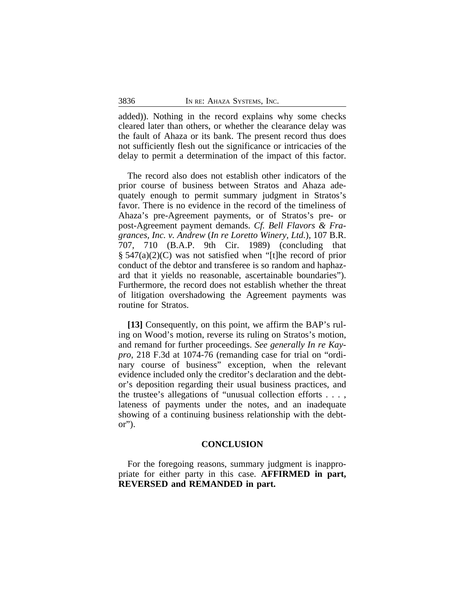added)). Nothing in the record explains why some checks cleared later than others, or whether the clearance delay was the fault of Ahaza or its bank. The present record thus does not sufficiently flesh out the significance or intricacies of the delay to permit a determination of the impact of this factor.

The record also does not establish other indicators of the prior course of business between Stratos and Ahaza adequately enough to permit summary judgment in Stratos's favor. There is no evidence in the record of the timeliness of Ahaza's pre-Agreement payments, or of Stratos's pre- or post-Agreement payment demands. *Cf. Bell Flavors & Fragrances, Inc. v. Andrew* (*In re Loretto Winery, Ltd.*), 107 B.R. 707, 710 (B.A.P. 9th Cir. 1989) (concluding that § 547(a)(2)(C) was not satisfied when "[t]he record of prior conduct of the debtor and transferee is so random and haphazard that it yields no reasonable, ascertainable boundaries"). Furthermore, the record does not establish whether the threat of litigation overshadowing the Agreement payments was routine for Stratos.

**[13]** Consequently, on this point, we affirm the BAP's ruling on Wood's motion, reverse its ruling on Stratos's motion, and remand for further proceedings. *See generally In re Kaypro*, 218 F.3d at 1074-76 (remanding case for trial on "ordinary course of business" exception, when the relevant evidence included only the creditor's declaration and the debtor's deposition regarding their usual business practices, and the trustee's allegations of "unusual collection efforts . . . , lateness of payments under the notes, and an inadequate showing of a continuing business relationship with the debt $or$ ").

## **CONCLUSION**

For the foregoing reasons, summary judgment is inappropriate for either party in this case. **AFFIRMED in part, REVERSED and REMANDED in part.**